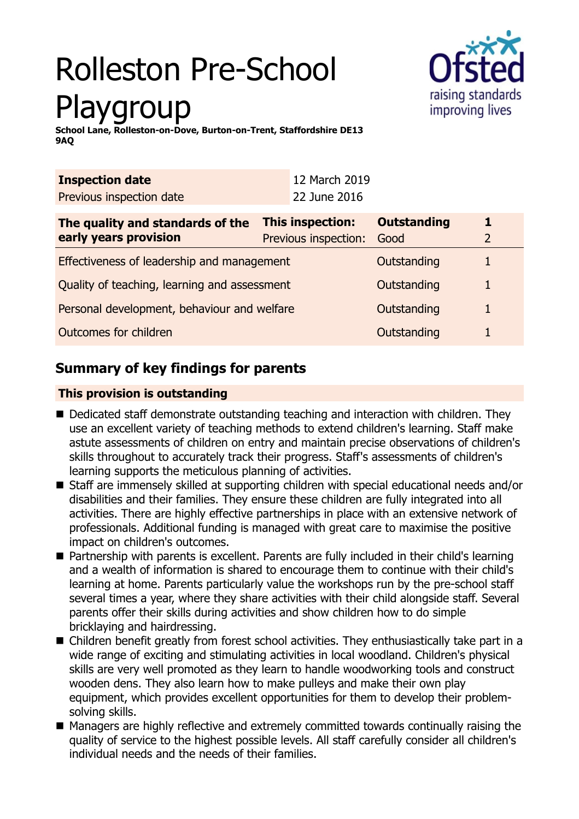# Rolleston Pre-School Playgroup



**School Lane, Rolleston-on-Dove, Burton-on-Trent, Staffordshire DE13 9AQ**

| <b>Inspection date</b>                                    | 12 March 2019                                   |                            |   |  |
|-----------------------------------------------------------|-------------------------------------------------|----------------------------|---|--|
| Previous inspection date                                  | 22 June 2016                                    |                            |   |  |
| The quality and standards of the<br>early years provision | <b>This inspection:</b><br>Previous inspection: | <b>Outstanding</b><br>Good |   |  |
| Effectiveness of leadership and management                |                                                 | Outstanding                |   |  |
| Quality of teaching, learning and assessment              |                                                 | Outstanding                | 1 |  |
| Personal development, behaviour and welfare               |                                                 | Outstanding                |   |  |
| Outcomes for children                                     |                                                 | Outstanding                |   |  |

# **Summary of key findings for parents**

## **This provision is outstanding**

- $\blacksquare$  Dedicated staff demonstrate outstanding teaching and interaction with children. They use an excellent variety of teaching methods to extend children's learning. Staff make astute assessments of children on entry and maintain precise observations of children's skills throughout to accurately track their progress. Staff's assessments of children's learning supports the meticulous planning of activities.
- Staff are immensely skilled at supporting children with special educational needs and/or disabilities and their families. They ensure these children are fully integrated into all activities. There are highly effective partnerships in place with an extensive network of professionals. Additional funding is managed with great care to maximise the positive impact on children's outcomes.
- Partnership with parents is excellent. Parents are fully included in their child's learning and a wealth of information is shared to encourage them to continue with their child's learning at home. Parents particularly value the workshops run by the pre-school staff several times a year, where they share activities with their child alongside staff. Several parents offer their skills during activities and show children how to do simple bricklaying and hairdressing.
- $\blacksquare$  Children benefit greatly from forest school activities. They enthusiastically take part in a wide range of exciting and stimulating activities in local woodland. Children's physical skills are very well promoted as they learn to handle woodworking tools and construct wooden dens. They also learn how to make pulleys and make their own play equipment, which provides excellent opportunities for them to develop their problemsolving skills.
- Managers are highly reflective and extremely committed towards continually raising the quality of service to the highest possible levels. All staff carefully consider all children's individual needs and the needs of their families.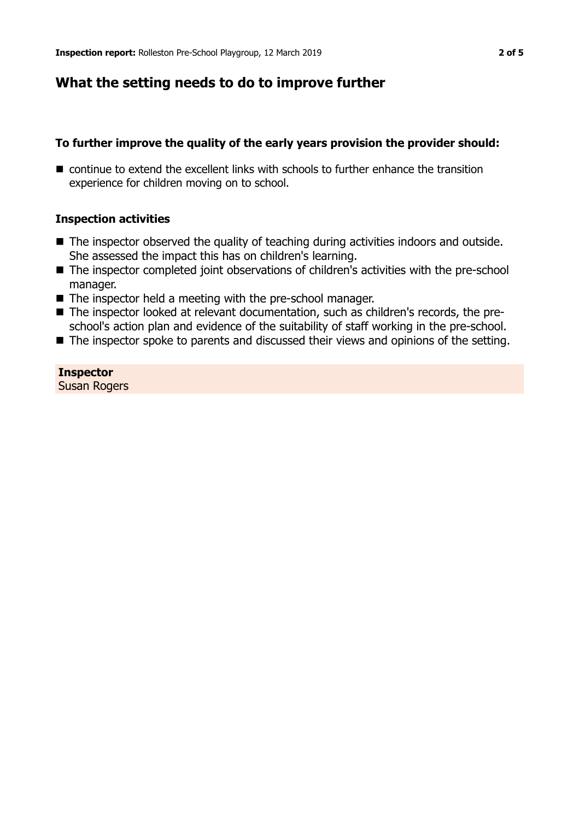## **What the setting needs to do to improve further**

### **To further improve the quality of the early years provision the provider should:**

 $\blacksquare$  continue to extend the excellent links with schools to further enhance the transition experience for children moving on to school.

#### **Inspection activities**

- $\blacksquare$  The inspector observed the quality of teaching during activities indoors and outside. She assessed the impact this has on children's learning.
- The inspector completed joint observations of children's activities with the pre-school manager.
- $\blacksquare$  The inspector held a meeting with the pre-school manager.
- The inspector looked at relevant documentation, such as children's records, the preschool's action plan and evidence of the suitability of staff working in the pre-school.
- The inspector spoke to parents and discussed their views and opinions of the setting.

#### **Inspector** Susan Rogers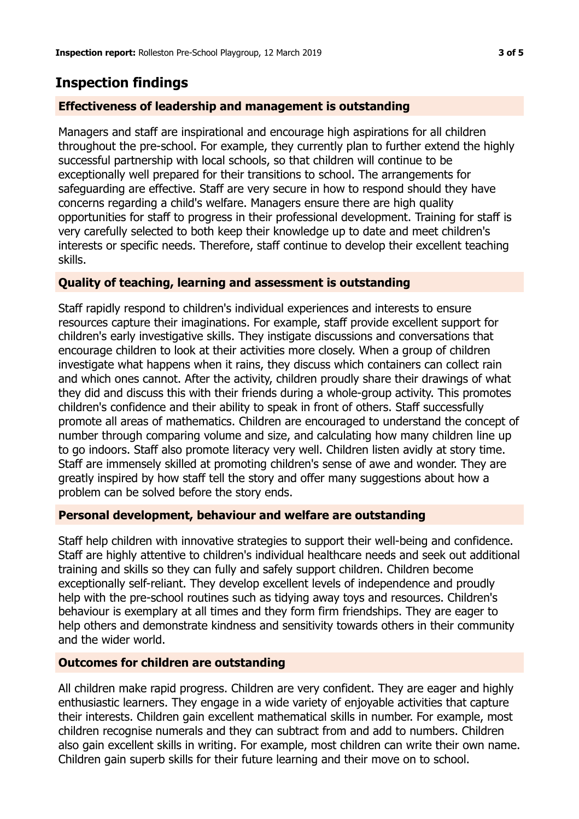# **Inspection findings**

## **Effectiveness of leadership and management is outstanding**

Managers and staff are inspirational and encourage high aspirations for all children throughout the pre-school. For example, they currently plan to further extend the highly successful partnership with local schools, so that children will continue to be exceptionally well prepared for their transitions to school. The arrangements for safeguarding are effective. Staff are very secure in how to respond should they have concerns regarding a child's welfare. Managers ensure there are high quality opportunities for staff to progress in their professional development. Training for staff is very carefully selected to both keep their knowledge up to date and meet children's interests or specific needs. Therefore, staff continue to develop their excellent teaching skills.

## **Quality of teaching, learning and assessment is outstanding**

Staff rapidly respond to children's individual experiences and interests to ensure resources capture their imaginations. For example, staff provide excellent support for children's early investigative skills. They instigate discussions and conversations that encourage children to look at their activities more closely. When a group of children investigate what happens when it rains, they discuss which containers can collect rain and which ones cannot. After the activity, children proudly share their drawings of what they did and discuss this with their friends during a whole-group activity. This promotes children's confidence and their ability to speak in front of others. Staff successfully promote all areas of mathematics. Children are encouraged to understand the concept of number through comparing volume and size, and calculating how many children line up to go indoors. Staff also promote literacy very well. Children listen avidly at story time. Staff are immensely skilled at promoting children's sense of awe and wonder. They are greatly inspired by how staff tell the story and offer many suggestions about how a problem can be solved before the story ends.

## **Personal development, behaviour and welfare are outstanding**

Staff help children with innovative strategies to support their well-being and confidence. Staff are highly attentive to children's individual healthcare needs and seek out additional training and skills so they can fully and safely support children. Children become exceptionally self-reliant. They develop excellent levels of independence and proudly help with the pre-school routines such as tidying away toys and resources. Children's behaviour is exemplary at all times and they form firm friendships. They are eager to help others and demonstrate kindness and sensitivity towards others in their community and the wider world.

## **Outcomes for children are outstanding**

All children make rapid progress. Children are very confident. They are eager and highly enthusiastic learners. They engage in a wide variety of enjoyable activities that capture their interests. Children gain excellent mathematical skills in number. For example, most children recognise numerals and they can subtract from and add to numbers. Children also gain excellent skills in writing. For example, most children can write their own name. Children gain superb skills for their future learning and their move on to school.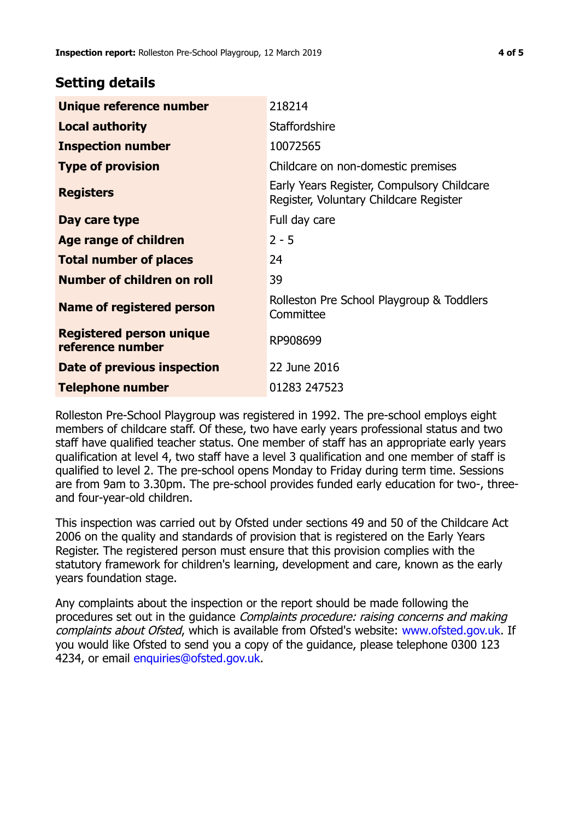## **Setting details**

| Unique reference number                             | 218214                                                                               |  |
|-----------------------------------------------------|--------------------------------------------------------------------------------------|--|
| <b>Local authority</b>                              | <b>Staffordshire</b>                                                                 |  |
| <b>Inspection number</b>                            | 10072565                                                                             |  |
| <b>Type of provision</b>                            | Childcare on non-domestic premises                                                   |  |
| <b>Registers</b>                                    | Early Years Register, Compulsory Childcare<br>Register, Voluntary Childcare Register |  |
| Day care type                                       | Full day care                                                                        |  |
| Age range of children                               | $2 - 5$                                                                              |  |
| <b>Total number of places</b>                       | 24                                                                                   |  |
| Number of children on roll                          | 39                                                                                   |  |
| Name of registered person                           | Rolleston Pre School Playgroup & Toddlers<br>Committee                               |  |
| <b>Registered person unique</b><br>reference number | RP908699                                                                             |  |
| <b>Date of previous inspection</b>                  | 22 June 2016                                                                         |  |
| <b>Telephone number</b>                             | 01283 247523                                                                         |  |

Rolleston Pre-School Playgroup was registered in 1992. The pre-school employs eight members of childcare staff. Of these, two have early years professional status and two staff have qualified teacher status. One member of staff has an appropriate early years qualification at level 4, two staff have a level 3 qualification and one member of staff is qualified to level 2. The pre-school opens Monday to Friday during term time. Sessions are from 9am to 3.30pm. The pre-school provides funded early education for two-, threeand four-year-old children.

This inspection was carried out by Ofsted under sections 49 and 50 of the Childcare Act 2006 on the quality and standards of provision that is registered on the Early Years Register. The registered person must ensure that this provision complies with the statutory framework for children's learning, development and care, known as the early years foundation stage.

Any complaints about the inspection or the report should be made following the procedures set out in the guidance Complaints procedure: raising concerns and making complaints about Ofsted, which is available from Ofsted's website: www.ofsted.gov.uk. If you would like Ofsted to send you a copy of the guidance, please telephone 0300 123 4234, or email [enquiries@ofsted.gov.uk.](mailto:enquiries@ofsted.gov.uk)